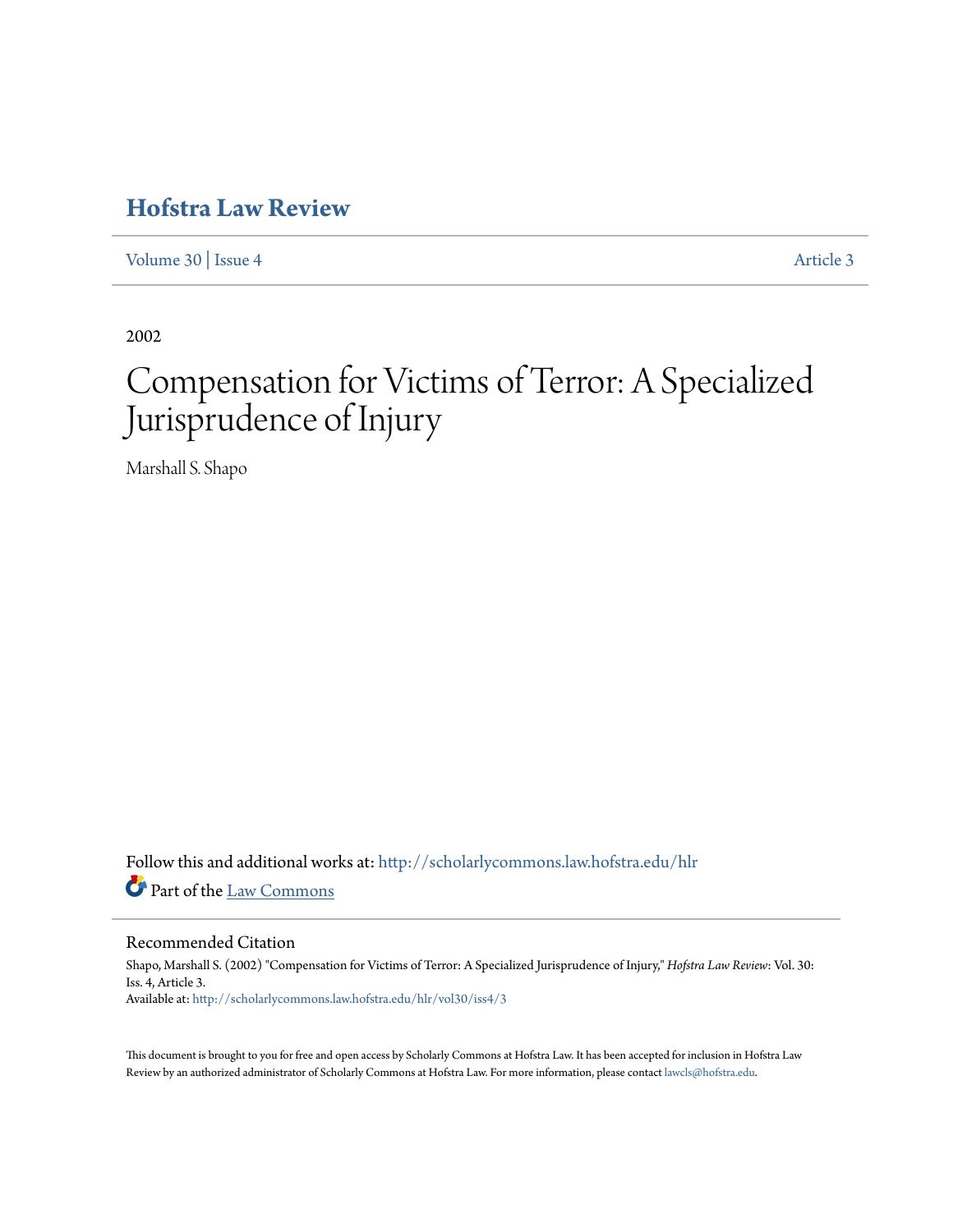# **[Hofstra Law Review](http://scholarlycommons.law.hofstra.edu/hlr?utm_source=scholarlycommons.law.hofstra.edu%2Fhlr%2Fvol30%2Fiss4%2F3&utm_medium=PDF&utm_campaign=PDFCoverPages)**

[Volume 30](http://scholarlycommons.law.hofstra.edu/hlr/vol30?utm_source=scholarlycommons.law.hofstra.edu%2Fhlr%2Fvol30%2Fiss4%2F3&utm_medium=PDF&utm_campaign=PDFCoverPages) | [Issue 4](http://scholarlycommons.law.hofstra.edu/hlr/vol30/iss4?utm_source=scholarlycommons.law.hofstra.edu%2Fhlr%2Fvol30%2Fiss4%2F3&utm_medium=PDF&utm_campaign=PDFCoverPages) [Article 3](http://scholarlycommons.law.hofstra.edu/hlr/vol30/iss4/3?utm_source=scholarlycommons.law.hofstra.edu%2Fhlr%2Fvol30%2Fiss4%2F3&utm_medium=PDF&utm_campaign=PDFCoverPages)

2002

# Compensation for Victims of Terror: A Specialized Jurisprudence of Injury

Marshall S. Shapo

Follow this and additional works at: [http://scholarlycommons.law.hofstra.edu/hlr](http://scholarlycommons.law.hofstra.edu/hlr?utm_source=scholarlycommons.law.hofstra.edu%2Fhlr%2Fvol30%2Fiss4%2F3&utm_medium=PDF&utm_campaign=PDFCoverPages) Part of the [Law Commons](http://network.bepress.com/hgg/discipline/578?utm_source=scholarlycommons.law.hofstra.edu%2Fhlr%2Fvol30%2Fiss4%2F3&utm_medium=PDF&utm_campaign=PDFCoverPages)

# Recommended Citation

Shapo, Marshall S. (2002) "Compensation for Victims of Terror: A Specialized Jurisprudence of Injury," *Hofstra Law Review*: Vol. 30: Iss. 4, Article 3. Available at: [http://scholarlycommons.law.hofstra.edu/hlr/vol30/iss4/3](http://scholarlycommons.law.hofstra.edu/hlr/vol30/iss4/3?utm_source=scholarlycommons.law.hofstra.edu%2Fhlr%2Fvol30%2Fiss4%2F3&utm_medium=PDF&utm_campaign=PDFCoverPages)

This document is brought to you for free and open access by Scholarly Commons at Hofstra Law. It has been accepted for inclusion in Hofstra Law Review by an authorized administrator of Scholarly Commons at Hofstra Law. For more information, please contact [lawcls@hofstra.edu](mailto:lawcls@hofstra.edu).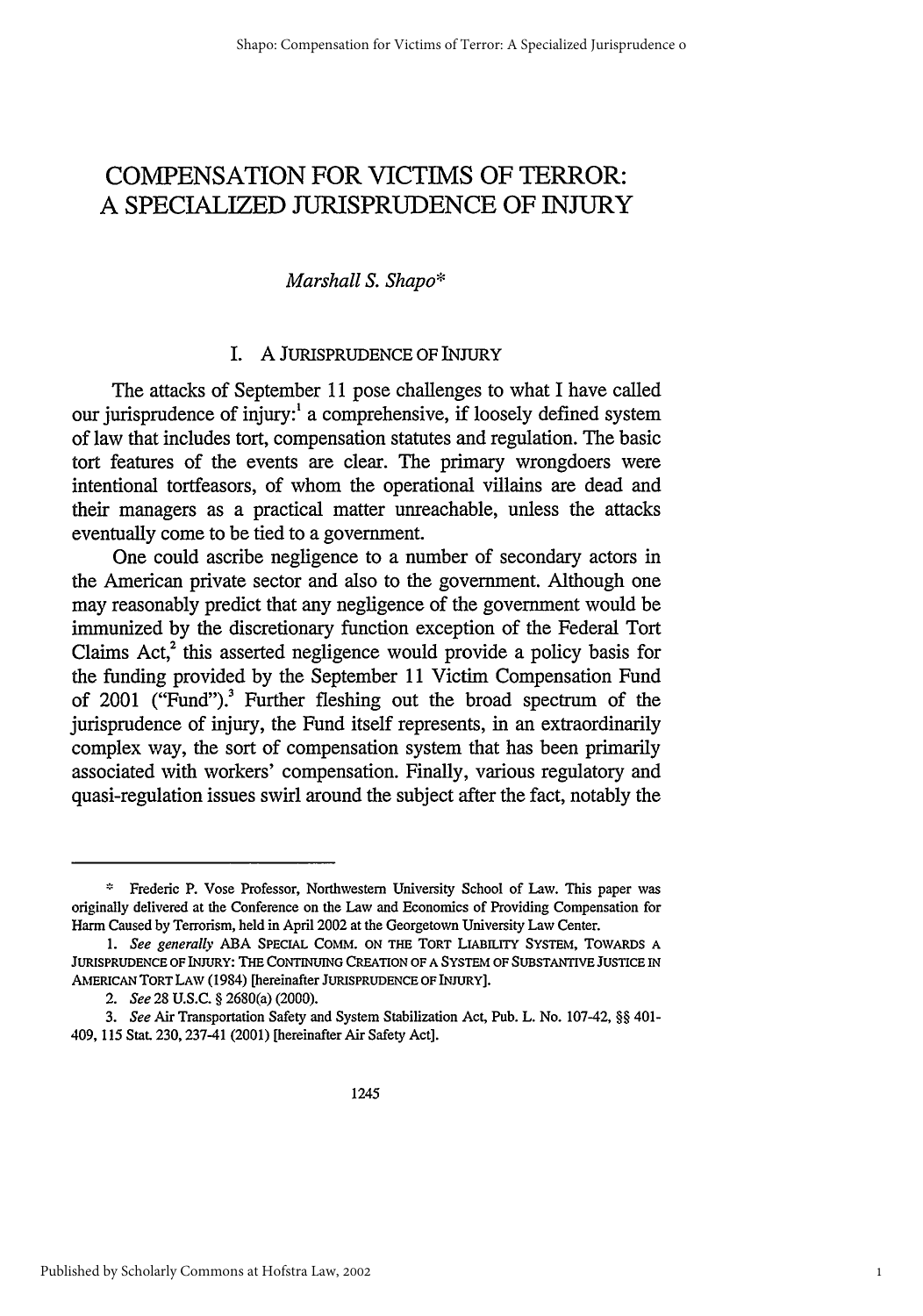# **COMPENSATION** FOR VICTIMS OF TERROR: **A** SPECIALIZED **JURISPRUDENCE** OF INJURY

# *Marshall S. Shapo\**

# I. A JURISPRUDENCE OF INJURY

The attacks of September 11 pose challenges to what I have called our jurisprudence of injury:' a comprehensive, if loosely defined system of law that includes tort, compensation statutes and regulation. The basic tort features of the events are clear. The primary wrongdoers were intentional tortfeasors, of whom the operational villains are dead and their managers as a practical matter unreachable, unless the attacks eventually come to be tied to a government.

One could ascribe negligence to a number of secondary actors in the American private sector and also to the government. Although one may reasonably predict that any negligence of the government would be immunized by the discretionary function exception of the Federal Tort Claims  $Act<sub>1</sub><sup>2</sup>$  this asserted negligence would provide a policy basis for the funding provided by the September 11 Victim Compensation Fund of 2001 ("Fund").3 Further fleshing out the broad spectrum of the jurisprudence of injury, the Fund itself represents, in an extraordinarily complex way, the sort of compensation system that has been primarily associated with workers' compensation. Finally, various regulatory and quasi-regulation issues swirl around the subject after the fact, notably the

Frederic P. Vose Professor, Northwestern University School of Law. This paper was originally delivered at the Conference on the Law and Economics of Providing Compensation for Harm Caused by Terrorism, held in April 2002 at the Georgetown University Law Center.

*<sup>1.</sup> See generally* **ABA SPECIAL** COMM. ON **THE** TORT LIABILITY **SYSTEM,** TOwARDS **A JURISPRUDENCE** OF **INJURY:** THE CONTINUING **CREATION** OF **A SYSTEM OF SUBSTANTIVE JUSTICE IN** AMERICAN TORT LAW (1984) [hereinafter **JURISPRUDENCE** OF INJURY].

*<sup>2.</sup> See* 28 U.S.C. § 2680(a) (2000).

*<sup>3.</sup> See* Air Transportation Safety and System Stabilization Act, Pub. L. No. 107-42, §§ 401- 409, 115 Stat. 230, 237-41 (2001) [hereinafter Air Safety Act].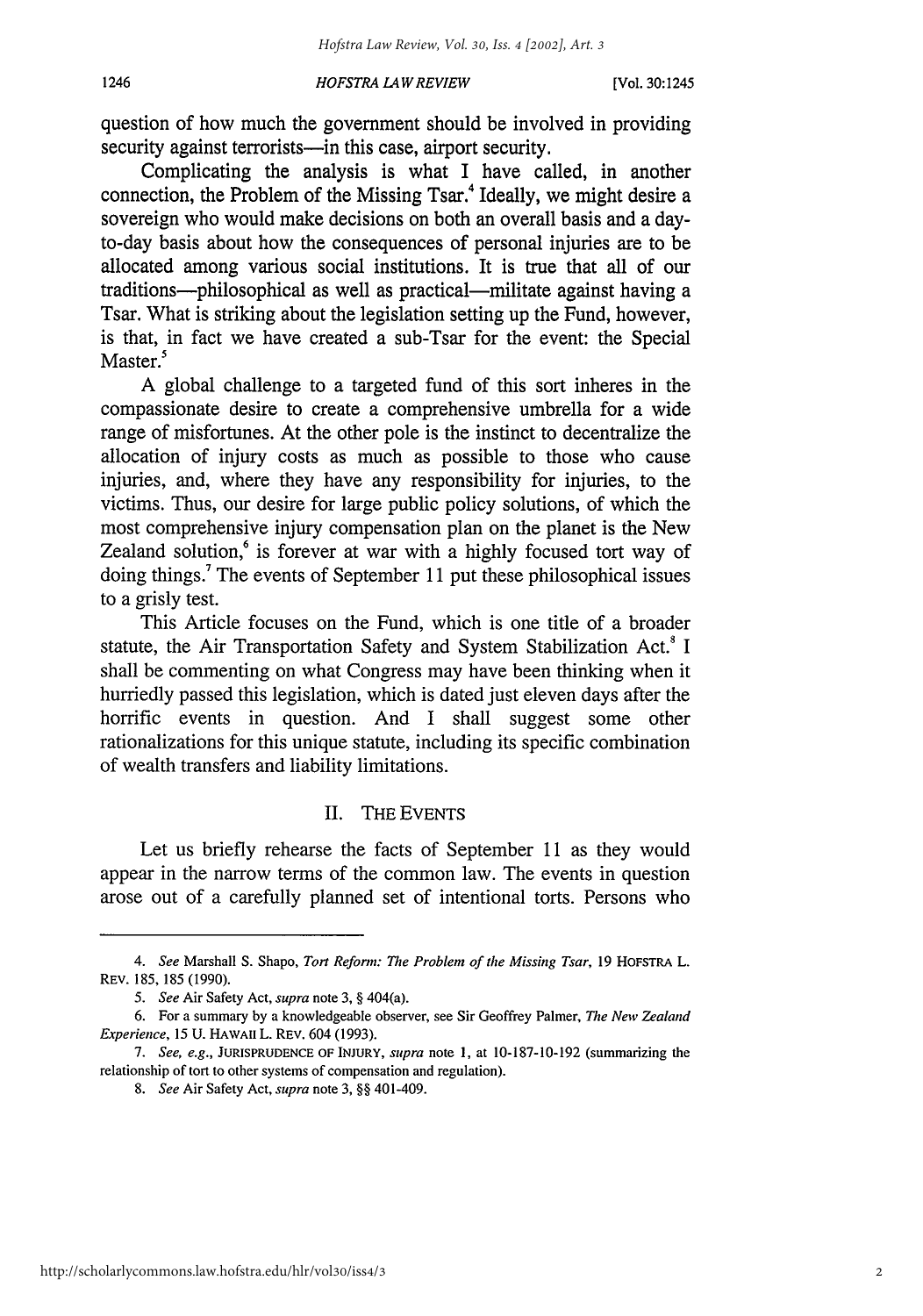question of how much the government should be involved in providing security against terrorists—in this case, airport security.

Complicating the analysis is what I have called, in another connection, the Problem of the Missing Tsar.<sup>4</sup> Ideally, we might desire a sovereign who would make decisions on both an overall basis and a dayto-day basis about how the consequences of personal injuries are to be allocated among various social institutions. It is true that all of our traditions---philosophical as well as practical---militate against having a Tsar. What is striking about the legislation setting up the Fund, however, is that, in fact we have created a sub-Tsar for the event: the Special Master.<sup>5</sup>

A global challenge to a targeted fund of this sort inheres in the compassionate desire to create a comprehensive umbrella for a wide range of misfortunes. At the other pole is the instinct to decentralize the allocation of injury costs as much as possible to those who cause injuries, and, where they have any responsibility for injuries, to the victims. Thus, our desire for large public policy solutions, of which the most comprehensive injury compensation plan on the planet is the New Zealand solution,<sup>6</sup> is forever at war with a highly focused tort way of doing things.7 The events of September 11 put these philosophical issues to a grisly test.

This Article focuses on the Fund, which is one title of a broader statute, the Air Transportation Safety and System Stabilization Act.' I shall be commenting on what Congress may have been thinking when it hurriedly passed this legislation, which is dated just eleven days after the horrific events in question. And I shall suggest some other rationalizations for this unique statute, including its specific combination of wealth transfers and liability limitations.

## II. THE EVENTS

Let us briefly rehearse the facts of September 11 as they would appear in the narrow terms of the common law. The events in question arose out of a carefully planned set of intentional torts. Persons who

*<sup>4.</sup> See* Marshall **S.** Shapo, *Tort Reform: The Problem of the Missing Tsar,* **19** HOFSTRA L. REV. **185, 185 (1990).**

*<sup>5.</sup> See* Air Safety Act, *supra* note **3,** § 404(a).

**<sup>6.</sup>** For a summary **by** a knowledgeable observer, see Sir Geoffrey Palmer, *The New Zealand Experience,* **15 U. HAWAII** L. REV. 604 **(1993).**

*<sup>7.</sup> See, e.g.,* **JURISPRUDENCE** OF **INJURY,** *supra* note **1,** at **10-187-10-192** (summarizing the relationship of tort to other systems of compensation and regulation).

*<sup>8.</sup> See* Air Safety Act, *supra* note **3,** §§ 401-409.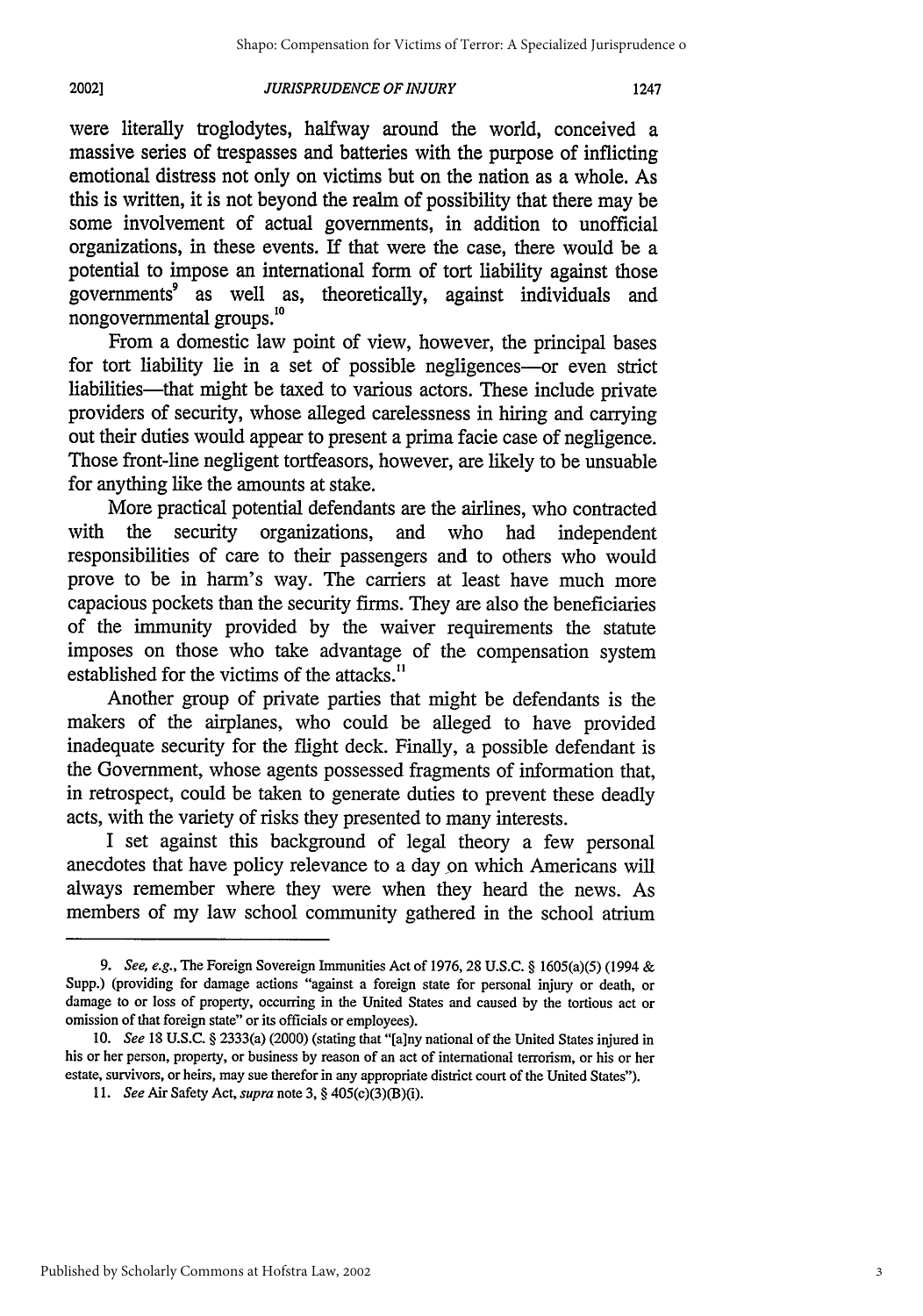#### *JURISPRUDENCE OF INJURY* 2002]

were literally troglodytes, halfway around the world, conceived a massive series of trespasses and batteries with the purpose of inflicting emotional distress not only on victims but on the nation as a whole. As this is written, it is not beyond the realm of possibility that there may be some involvement of actual governments, in addition to unofficial organizations, in these events. If that were the case, there would be a potential to impose an international form of tort liability against those governments<sup>9</sup> as well as, theoretically, against individuals and nongovernmental groups.<sup>10</sup>

From a domestic law point of view, however, the principal bases for tort liability lie in a set of possible negligences-or even strict liabilities-that might be taxed to various actors. These include private providers of security, whose alleged carelessness in hiring and carrying out their duties would appear to present a prima facie case of negligence. Those front-line negligent tortfeasors, however, are likely to be unsuable for anything like the amounts at stake.

More practical potential defendants are the airlines, who contracted with the security organizations, and who had independent responsibilities of care to their passengers and to others who would prove to be in harm's way. The carriers at least have much more capacious pockets than the security firms. They are also the beneficiaries of the immunity provided by the waiver requirements the statute imposes on those who take advantage of the compensation system established for the victims of the attacks."

Another group of private parties that might be defendants is the makers of the airplanes, who could be alleged to have provided inadequate security for the flight deck. Finally, a possible defendant is the Government, whose agents possessed fragments of information that, in retrospect, could be taken to generate duties to prevent these deadly acts, with the variety of risks they presented to many interests.

I set against this background of legal theory a few personal anecdotes that have policy relevance to a day on which Americans will always remember where they were when they heard the news. As members of my law school community gathered in the school atrium

**<sup>9.</sup>** See, e.g., The Foreign Sovereign Immunities Act of **1976, 28 U.S.C.** § 1605(a)(5) (1994 **&** Supp.) (providing for damage actions "against a foreign state for personal injury or death, or damage to or loss of property, occurring in the United States and caused **by** the tortious act or omission of that foreign state" or its officials or employees).

*<sup>10.</sup> See* **18 U.S.C.** § 2333(a) (2000) (stating that "[a]ny national of the United States injured in his or her person, property, or business **by** reason of an act of international terrorism, or his or her estate, survivors, or heirs, may sue therefor in any appropriate district court of the United States").

*<sup>11.</sup> See* Air Safety Act, *supra* note **3,** § 405(c)(3)(B)(i).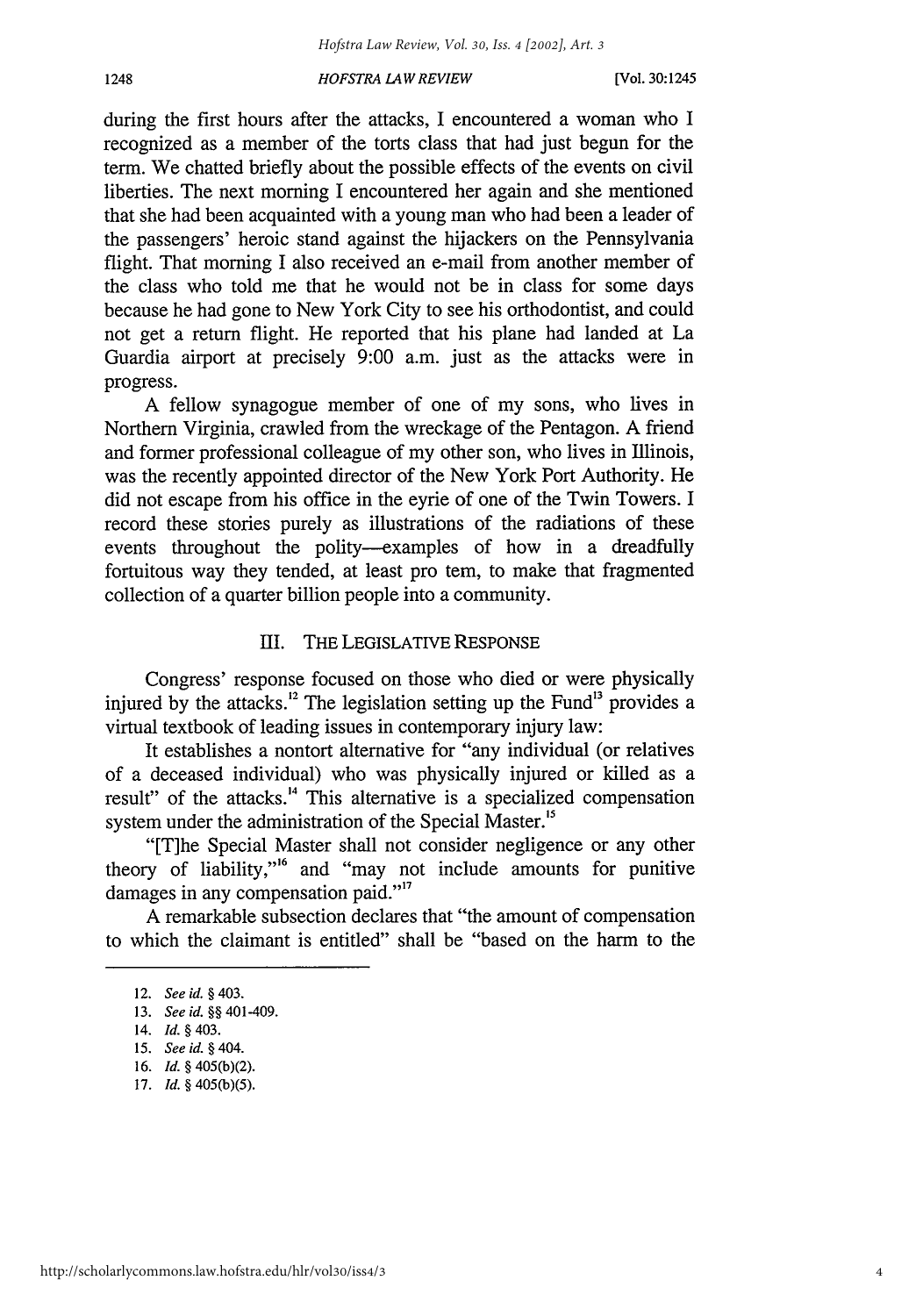during the first hours after the attacks, I encountered a woman who I recognized as a member of the torts class that had just begun for the term. We chatted briefly about the possible effects of the events on civil liberties. The next morning I encountered her again and she mentioned that she had been acquainted with a young man who had been a leader of the passengers' heroic stand against the hijackers on the Pennsylvania flight. That morning I also received an e-mail from another member of the class who told me that he would not be in class for some days because he had gone to New York City to see his orthodontist, and could not get a return flight. He reported that his plane had landed at La Guardia airport at precisely 9:00 a.m. just as the attacks were in progress.

A fellow synagogue member of one of my sons, who lives in Northern Virginia, crawled from the wreckage of the Pentagon. A friend and former professional colleague of my other son, who lives in Illinois, was the recently appointed director of the New York Port Authority. He did not escape from his office in the eyrie of one of the Twin Towers. I record these stories purely as illustrations of the radiations of these events throughout the polity--examples of how in a dreadfully fortuitous way they tended, at least pro tem, to make that fragmented collection of a quarter billion people into a community.

# III. THE LEGISLATIVE RESPONSE

Congress' response focused on those who died or were physically injured by the attacks.<sup>12</sup> The legislation setting up the Fund<sup>13</sup> provides a virtual textbook of leading issues in contemporary injury law:

It establishes a nontort alternative for "any individual (or relatives of a deceased individual) who was physically injured or killed as a result" of the attacks.<sup>14</sup> This alternative is a specialized compensation system under the administration of the Special Master.<sup>15</sup>

"[T]he Special Master shall not consider negligence or any other theory of liability,"<sup>6</sup> and "may not include amounts for punitive damages in any compensation paid."<sup>17</sup>

A remarkable subsection declares that "the amount of compensation to which the claimant is entitled" shall be "based on the harm to the

<sup>12.</sup> *See id.* **§** 403.

<sup>13.</sup> *See id. §§* 401-409.

<sup>14.</sup> *Id. §* 403.

<sup>15.</sup> *See id.* **§** *404.*

<sup>16.</sup> *Id.* § 405(b)(2).

<sup>17.</sup> *Id. §* 405(b)(5).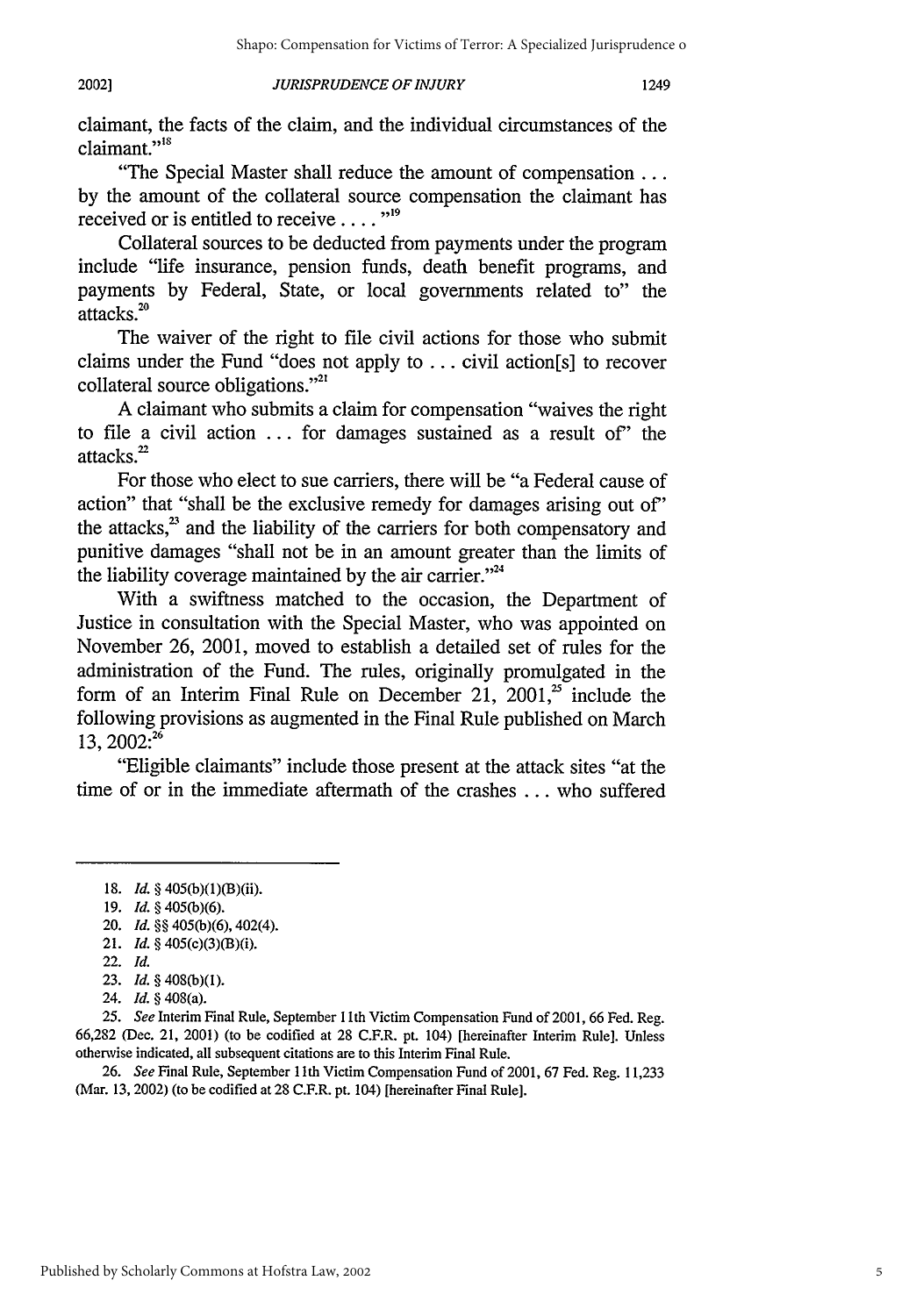#### *JURISPRUDENCE OF INJURY* 2002]

1249

claimant, the facts of the claim, and the individual circumstances of the claimant."<sup>18</sup>

"The Special Master shall reduce the amount of compensation ... by the amount of the collateral source compensation the claimant has received or is entitled to receive .... **19**

Collateral sources to be deducted from payments under the program include "life insurance, pension funds, death benefit programs, and payments by Federal, State, or local governments related to" the attacks.<sup>20</sup>

The waiver of the right to file civil actions for those who submit claims under the Fund "does not apply to ... civil action[s] to recover collateral source obligations.'

A claimant who submits a claim for compensation "waives the right to file a civil action ... for damages sustained as a result of' the attacks.<sup>22</sup>

For those who elect to sue carriers, there will be "a Federal cause of action" that "shall be the exclusive remedy for damages arising out of' the attacks, $^{23}$  and the liability of the carriers for both compensatory and punitive damages "shall not be in an amount greater than the limits of the liability coverage maintained by the air carrier."<sup>24</sup>

With a swiftness matched to the occasion, the Department of Justice in consultation with the Special Master, who was appointed on November 26, 2001, moved to establish a detailed set of rules for the administration of the Fund. The rules, originally promulgated in the form of an Interim Final Rule on December 21, 2001, $^{25}$  include the following provisions as augmented in the Final Rule published on March  $13, 2002:^{26}$ 

"Eligible claimants" include those present at the attack sites "at the time of or in the immediate aftermath of the crashes ... who suffered

21. *Id.* § 405(c)(3)(B)(i).

26. *See* Final Rule, September 11th Victim Compensation Fund of 2001, 67 Fed. Reg. 11,233 (Mar. 13, 2002) (to be codified at 28 C.F.R. pt. 104) [hereinafter Final Rule].

<sup>18.</sup> *Id.* § 405(b)(1)(B)(ii).

<sup>19.</sup> *Id.* § 405(b)(6).

<sup>20.</sup> *Id. §§* 405(b)(6), 402(4).

<sup>22.</sup> *Id.*

<sup>23.</sup> *Id. §* 408(b)(1).

<sup>24.</sup> *Id. §* 408(a).

**<sup>25.</sup>** *See* Interim Final Rule, September 1 Ith Victim Compensation Fund of 2001, 66 Fed. Reg. 66,282 (Dec. 21, 2001) (to be codified at 28 C.F.R. pt. 104) [hereinafter Interim Rule]. Unless otherwise indicated, all subsequent citations are to this Interim Final Rule.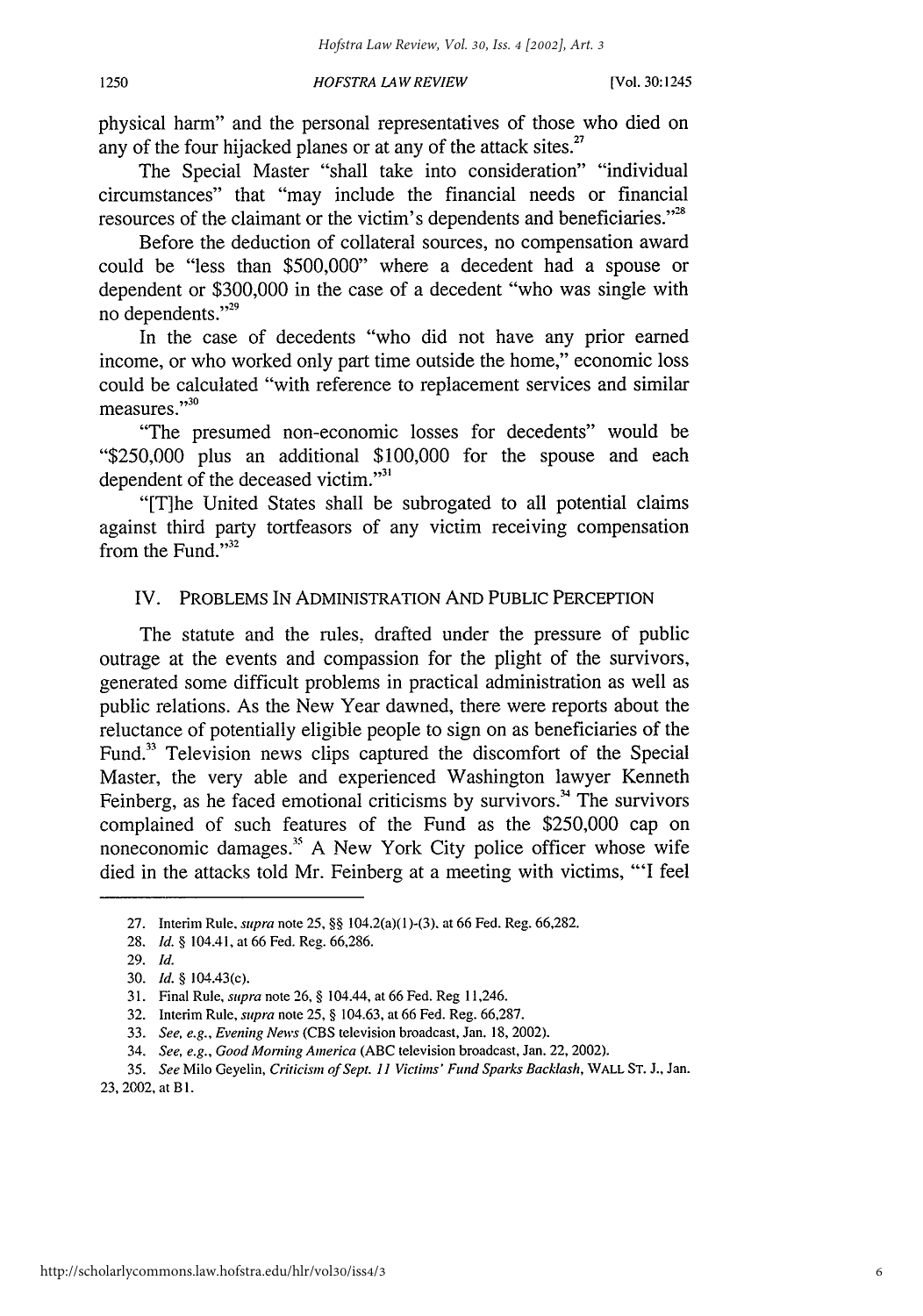physical harm" and the personal representatives of those who died on any of the four hijacked planes or at any of the attack sites. $27$ 

The Special Master "shall take into consideration" "individual circumstances" that "may include the financial needs or financial resources of the claimant or the victim's dependents and beneficiaries."<sup>28</sup>

Before the deduction of collateral sources, no compensation award could be "less than \$500,000" where a decedent had a spouse or dependent or \$300,000 in the case of a decedent "who was single with no dependents."<sup>29</sup>

In the case of decedents "who did not have any prior earned income, or who worked only part time outside the home," economic loss could be calculated "with reference to replacement services and similar  $\frac{30}{2}$  measures."<sup>30</sup>

"The presumed non-economic losses for decedents" would be "\$250,000 plus an additional \$100,000 for the spouse and each dependent of the deceased victim."<sup>31</sup>

"[T]he United States shall be subrogated to all potential claims against third party tortfeasors of any victim receiving compensation from the Fund." $32$ 

# IV. PROBLEMS IN ADMINISTRATION AND PUBLIC PERCEPTION

The statute and the rules, drafted under the pressure of public outrage at the events and compassion for the plight of the survivors, generated some difficult problems in practical administration as well as public relations. As the New Year dawned, there were reports about the reluctance of potentially eligible people to sign on as beneficiaries of the Fund.<sup>33</sup> Television news clips captured the discomfort of the Special Master, the very able and experienced Washington lawyer Kenneth Feinberg, as he faced emotional criticisms by survivors.<sup>34</sup> The survivors complained of such features of the Fund as the \$250,000 cap on noneconomic damages." A New York City police officer whose wife died in the attacks told Mr. Feinberg at a meeting with victims, "'I feel

<sup>27.</sup> Interim Rule, *supra* note 25, §§ 104.2(a)(1)-(3). at 66 Fed. Reg. 66,282.

<sup>28.</sup> *Id. §* 104.41, at 66 Fed. Reg. 66,286.

<sup>29.</sup> *Id.*

<sup>30.</sup> *Id. §* 104.43(c).

<sup>31.</sup> Final Rule, *supra* note **26,** § 104.44, at 66 Fed. Reg 11,246.

<sup>32.</sup> Interim Rule, *supra* note 25, § 104.63, at 66 Fed. Reg. 66,287.

<sup>33.</sup> *See, e.g., Evening News* (CBS television broadcast, Jan. 18, 2002).

<sup>34.</sup> *See, e.g., Good Morning America* (ABC television broadcast, Jan. 22, 2002).

<sup>35.</sup> *See* Milo Geyelin, *Criticism of Sept. 11 Victims' Fund Sparks Backlash,* WALL **ST. J.,** Jan. 23, 2002, at B1.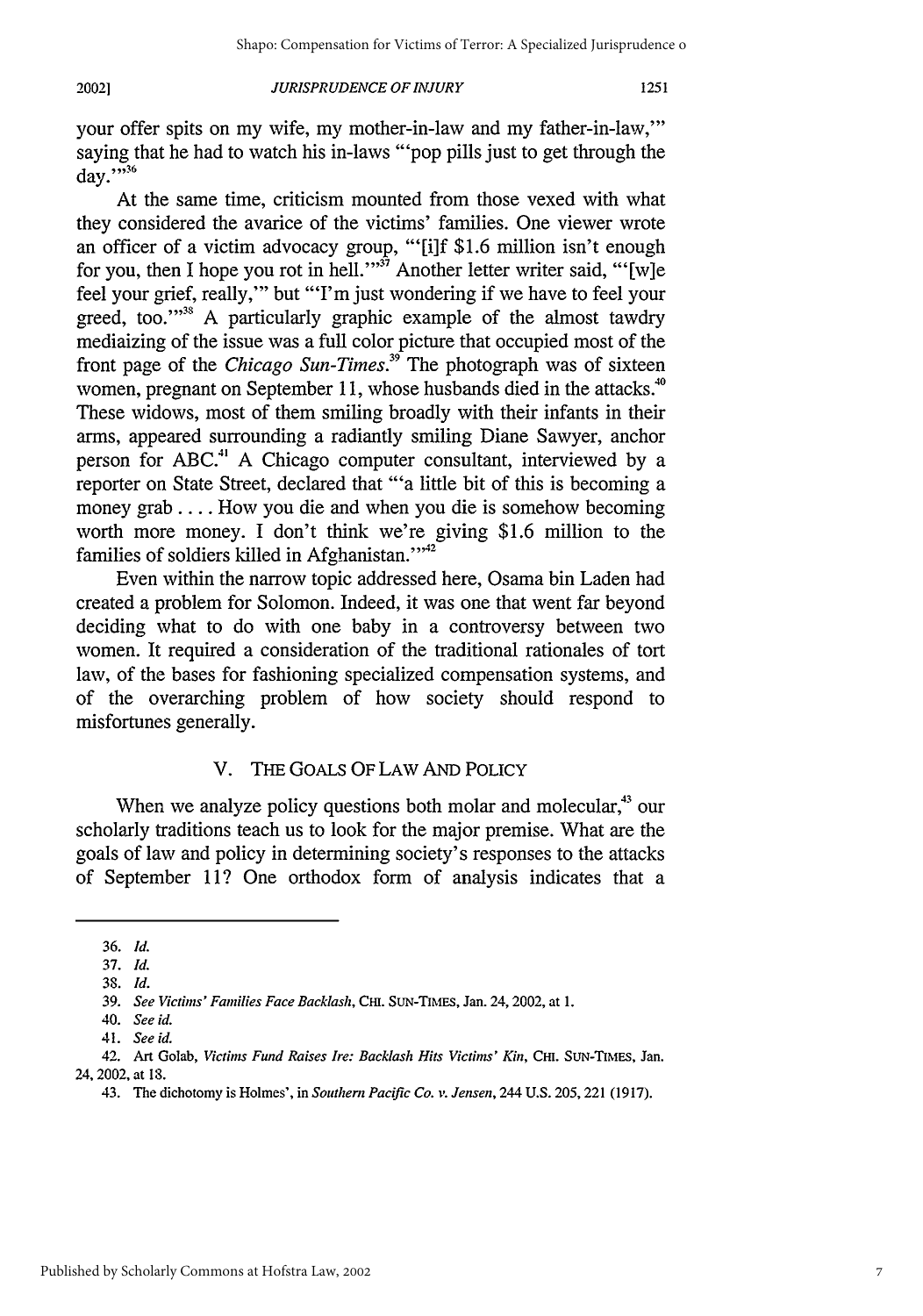20021

### *JURISPRUDENCE OF INJURY*

your offer spits on my wife, my mother-in-law and my father-in-law,"' saying that he had to watch his in-laws "'pop pills just to get through the  $day.^{"36}$ 

At the same time, criticism mounted from those vexed with what they considered the avarice of the victims' families. One viewer wrote an officer of a victim advocacy group, "'[i]f \$1.6 million isn't enough for you, then I hope you rot in hell."<sup>37</sup> Another letter writer said, "'[w]e feel your grief, really,"' but "'I'm just wondering if we have to feel your greed, too."<sup>38</sup> A particularly graphic example of the almost tawdry mediaizing of the issue was a full color picture that occupied most of the front page of the *Chicago Sun-Times.39* The photograph was of sixteen women, pregnant on September 11, whose husbands died in the attacks.<sup>40</sup> These widows, most of them smiling broadly with their infants in their arms, appeared surrounding a radiantly smiling Diane Sawyer, anchor person for **ABC."** A Chicago computer consultant, interviewed by a reporter on State Street, declared that "'a little bit of this is becoming a money grab .... How you die and when you die is somehow becoming worth more money. I don't think we're giving \$1.6 million to the families of soldiers killed in Afghanistan."<sup>12</sup>

Even within the narrow topic addressed here, Osama bin Laden had created a problem for Solomon. Indeed, it was one that went far beyond deciding what to do with one baby in a controversy between two women. It required a consideration of the traditional rationales of tort law, of the bases for fashioning specialized compensation systems, and of the overarching problem of how society should respond to misfortunes generally.

# V. THE GOALS OF LAW AND POLICY

When we analyze policy questions both molar and molecular, $43$  our scholarly traditions teach us to look for the major premise. What are the goals of law and policy in determining society's responses to the attacks of September 11? One orthodox form of analysis indicates that a

<sup>36.</sup> *Id.*

<sup>37.</sup> *Id.*

**<sup>38.</sup>** *Id.*

<sup>39.</sup> *See Victims' Families Face Backlash,* CH. SuN-TIMEs, Jan. 24,2002, at 1.

<sup>40.</sup> *See id.*

<sup>41.</sup> *Seeid.*

<sup>42.</sup> Art Golab, *Victims Fund Raises Ire: Backlash Hits Victims' Kin,* CHI. **SUN-TIMEs,** Jan. 24,2002, at 18.

<sup>43.</sup> The dichotomy is Holmes', in *Southern Pacific Co. v. Jensen,* 244 U.S. 205,221 (1917).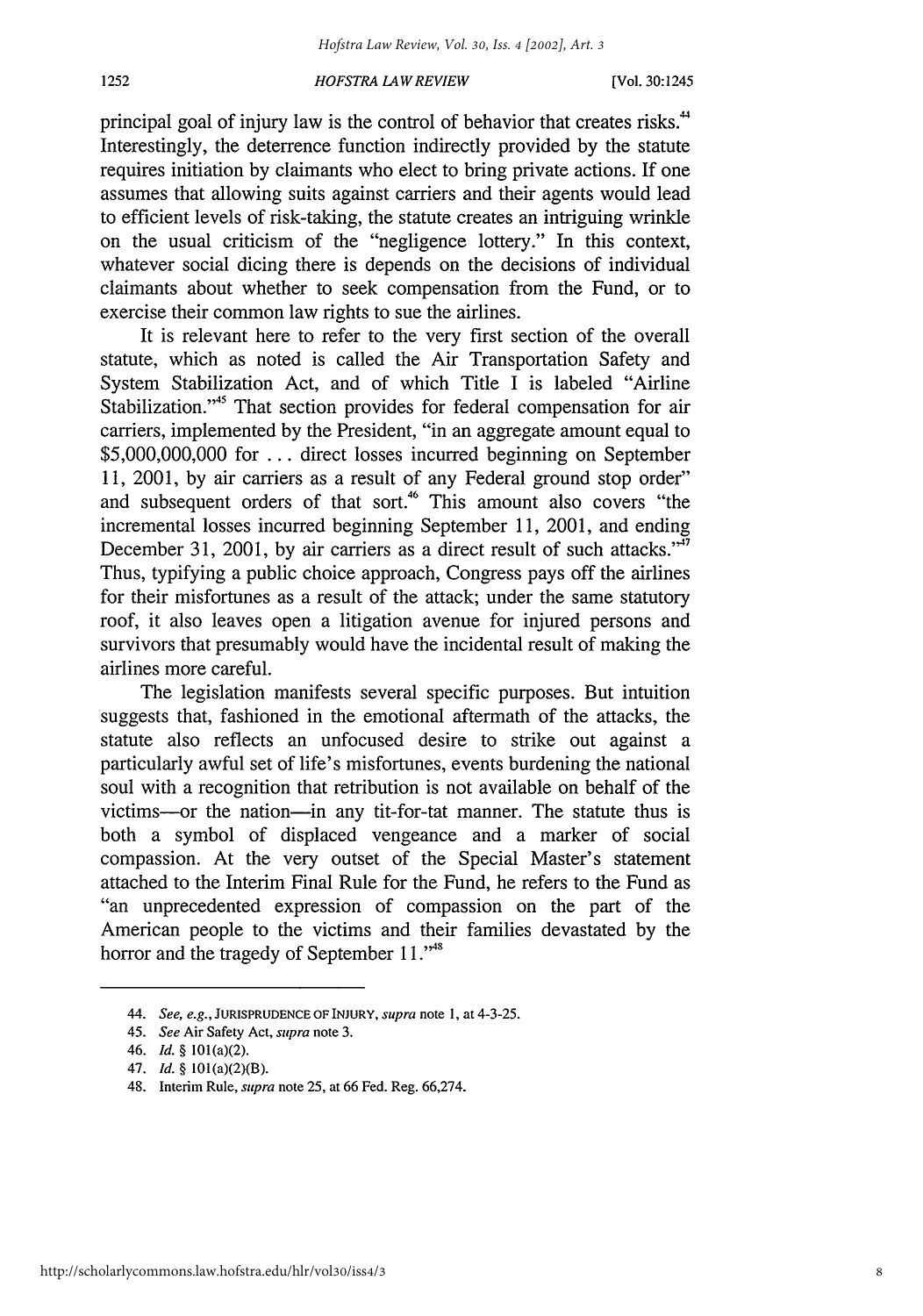principal goal of injury law is the control of behavior that creates risks.<sup>44</sup> Interestingly, the deterrence function indirectly provided by the statute requires initiation by claimants who elect to bring private actions. If one assumes that allowing suits against carriers and their agents would lead to efficient levels of risk-taking, the statute creates an intriguing wrinkle on the usual criticism of the "negligence lottery." In this context, whatever social dicing there is depends on the decisions of individual claimants about whether to seek compensation from the Fund, or to exercise their common law rights to sue the airlines.

It is relevant here to refer to the very first section of the overall statute, which as noted is called the Air Transportation Safety and System Stabilization Act, and of which Title I is labeled "Airline Stabilization."<sup>45</sup> That section provides for federal compensation for air carriers, implemented by the President, "in an aggregate amount equal to \$5,000,000,000 for ... direct losses incurred beginning on September 11, 2001, by air carriers as a result of any Federal ground stop order" and subsequent orders of that sort.<sup>46</sup> This amount also covers "the incremental losses incurred beginning September 11, 2001, and ending December 31, 2001, by air carriers as a direct result of such attacks."<sup>47</sup> Thus, typifying a public choice approach, Congress pays off the airlines for their misfortunes as a result of the attack; under the same statutory roof, it also leaves open a litigation avenue for injured persons and survivors that presumably would have the incidental result of making the airlines more careful.

The legislation manifests several specific purposes. But intuition suggests that, fashioned in the emotional aftermath of the attacks, the statute also reflects an unfocused desire to strike out against a particularly awful set of life's misfortunes, events burdening the national soul with a recognition that retribution is not available on behalf of the victims-or the nation-in any tit-for-tat manner. The statute thus is both a symbol of displaced vengeance and a marker of social compassion. At the very outset of the Special Master's statement attached to the Interim Final Rule for the Fund, he refers to the Fund as "an unprecedented expression of compassion on the part of the American people to the victims and their families devastated by the horror and the tragedy of September 11."<sup>48</sup>

1252

<sup>44.</sup> *See, e.g.,* **JURISPRUDENCE** OF INJURY, supra note **1,** at 4-3-25.

<sup>45.</sup> *See* Air Safety Act, *supra* note 3.

<sup>46.</sup> *Id.* § 101(a)(2).

<sup>47.</sup> *Id.* § 101(a)(2)(B).

<sup>48.</sup> Interim Rule, supra note 25, at 66 Fed. Reg. 66,274.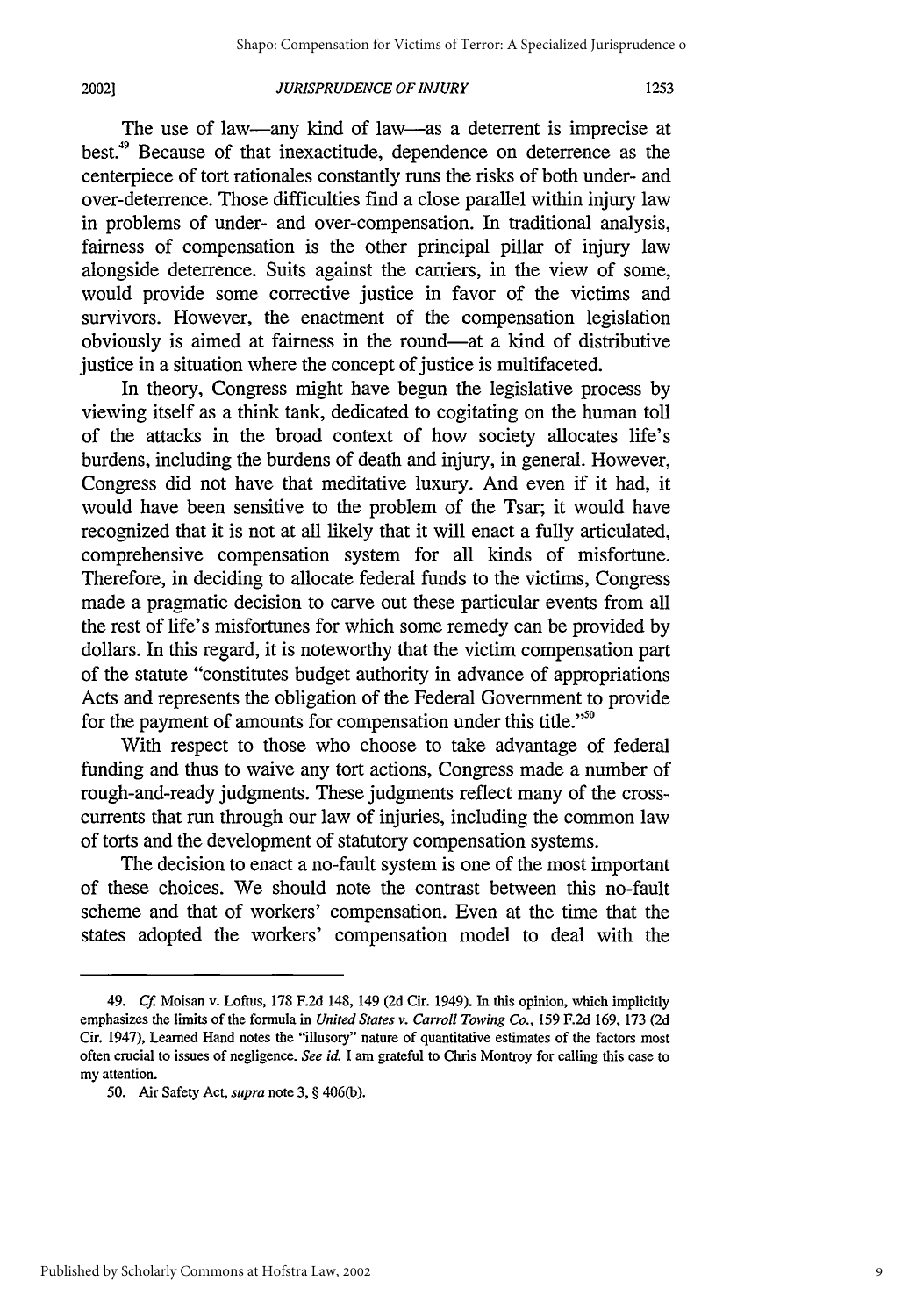#### 20021

### *JURISPRUDENCE OF INJURY*

The use of law-any kind of law-as a deterrent is imprecise at best.<sup>49</sup> Because of that inexactitude, dependence on deterrence as the centerpiece of tort rationales constantly runs the risks of both under- and over-deterrence. Those difficulties find a close parallel within injury law in problems of under- and over-compensation. In traditional analysis, fairness of compensation is the other principal pillar of injury law alongside deterrence. Suits against the carriers, in the view of some, would provide some corrective justice in favor of the victims and survivors. However, the enactment of the compensation legislation obviously is aimed at fairness in the round-at a kind of distributive justice in a situation where the concept of justice is multifaceted.

In theory, Congress might have begun the legislative process by viewing itself as a think tank, dedicated to cogitating on the human toll of the attacks in the broad context of how society allocates life's burdens, including the burdens of death and injury, in general. However, Congress did not have that meditative luxury. And even if it had, it would have been sensitive to the problem of the Tsar; it would have recognized that it is not at all likely that it will enact a fully articulated, comprehensive compensation system for all kinds of misfortune. Therefore, in deciding to allocate federal funds to the victims, Congress made a pragmatic decision to carve out these particular events from all the rest of life's misfortunes for which some remedy can be provided by dollars. In this regard, it is noteworthy that the victim compensation part of the statute "constitutes budget authority in advance of appropriations Acts and represents the obligation of the Federal Government to provide for the payment of amounts for compensation under this title."<sup>50</sup>

With respect to those who choose to take advantage of federal funding and thus to waive any tort actions, Congress made a number of rough-and-ready judgments. These judgments reflect many of the crosscurrents that run through our law of injuries, including the common law of torts and the development of statutory compensation systems.

The decision to enact a no-fault system is one of the most important of these choices. We should note the contrast between this no-fault scheme and that of workers' compensation. Even at the time that the states adopted the workers' compensation model to deal with the

<sup>49.</sup> **Cf.** Moisan v. Loftus, 178 F.2d 148, 149 (2d Cir. 1949). In this opinion, which implicitly emphasizes the limits of the formula in *United States v. Carroll Towing Co.,* 159 F.2d 169, 173 (2d Cir. 1947), Learned Hand notes the "illusory" nature of quantitative estimates of the factors most often crucial to issues of negligence. *See* id. I am grateful to Chris Montroy for calling this case to my attention.

**<sup>50.</sup>** Air Safety Act, *supra* note 3, § 406(b).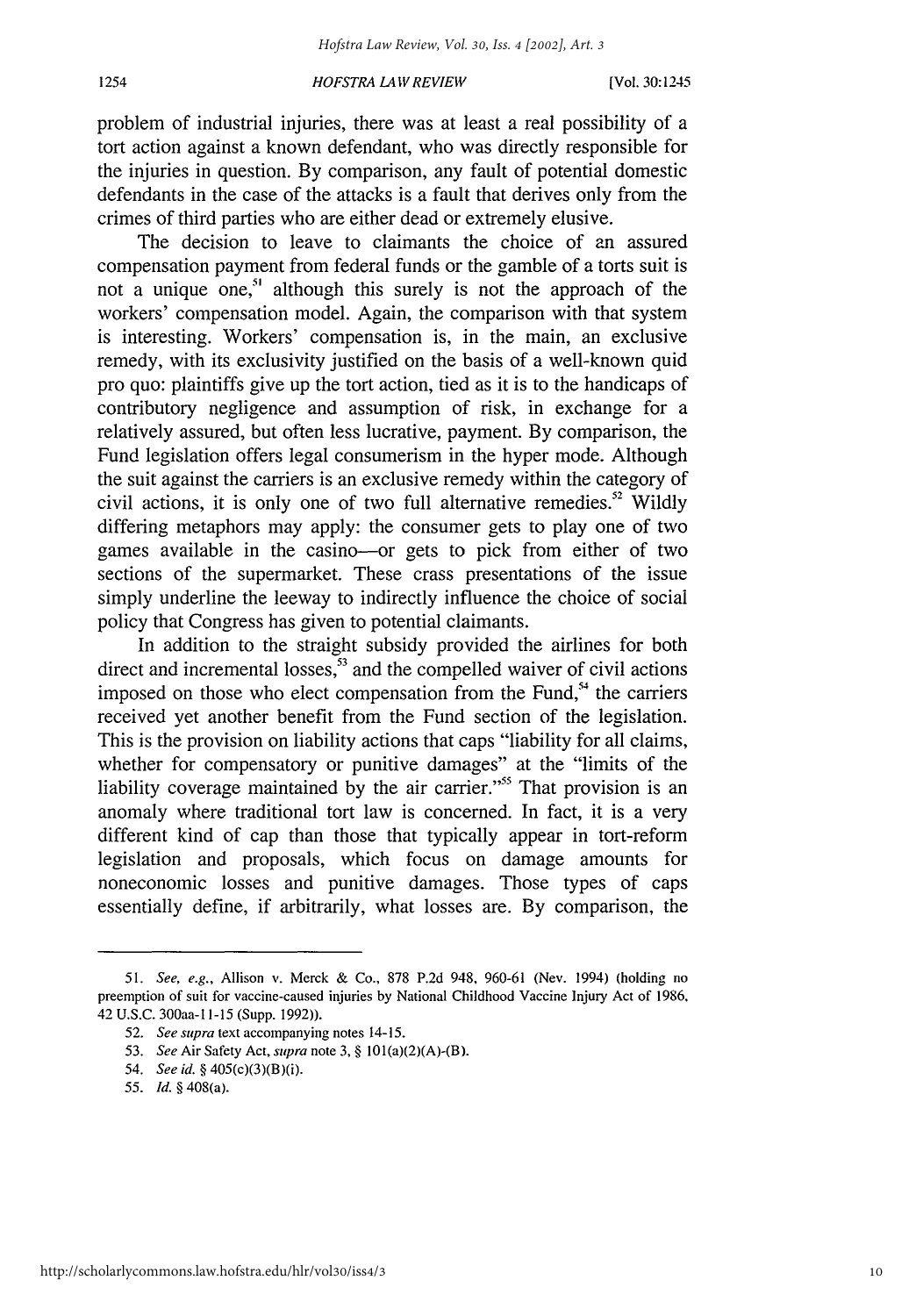#### *HOFSTRA LA IV REVIEW*

problem of industrial injuries, there was at least a real possibility of a tort action against a known defendant, who was directly responsible for the injuries in question. By comparison, any fault of potential domestic defendants in the case of the attacks is a fault that derives only from the crimes of third parties who are either dead or extremely elusive.

The decision to leave to claimants the choice of an assured compensation payment from federal funds or the gamble of a torts suit is not a unique one,<sup>51</sup> although this surely is not the approach of the workers' compensation model. Again, the comparison with that system is interesting. Workers' compensation is, in the main, an exclusive remedy, with its exclusivity justified on the basis of a well-known quid pro quo: plaintiffs give up the tort action, tied as it is to the handicaps of contributory negligence and assumption of risk, in exchange for a relatively assured, but often less lucrative, payment. By comparison, the Fund legislation offers legal consumerism in the hyper mode. Although the suit against the carriers is an exclusive remedy within the category of civil actions, it is only one of two full alternative remedies.<sup>52</sup> Wildly differing metaphors may apply: the consumer gets to play one of two games available in the casino-or gets to pick from either of two sections of the supermarket. These crass presentations of the issue simply underline the leeway to indirectly influence the choice of social policy that Congress has given to potential claimants.

In addition to the straight subsidy provided the airlines for both direct and incremental losses, $53$  and the compelled waiver of civil actions imposed on those who elect compensation from the Fund,<sup>54</sup> the carriers received yet another benefit from the Fund section of the legislation. This is the provision on liability actions that caps "liability for all claims, whether for compensatory or punitive damages" at the "limits of the liability coverage maintained by the air carrier."<sup>55</sup> That provision is an anomaly where traditional tort law is concerned. In fact, it is a very different kind of cap than those that typically appear in tort-reform legislation and proposals, which focus on damage amounts for noneconomic losses and punitive damages. Those types of caps essentially define, if arbitrarily, what losses are. By comparison, the

*<sup>51.</sup> See, e.g.,* Allison v. Merck & Co., 878 P.2d 948, 960-61 (Nev. 1994) (holding no preemption of suit for vaccine-caused injuries by National Childhood Vaccine Injury Act of 1986. 42 U.S.C. 300aa-I 1-15 (Supp. 1992)).

<sup>52.</sup> *See supra* text accompanying notes 14-15.

*<sup>53.</sup> See* Air Safety Act, *supra* note 3, § 101(a)(2)(A)-(B).

*<sup>54.</sup> See id.* § 405(c)(3)(B)(i).

*<sup>55.</sup> Id.* § 408(a).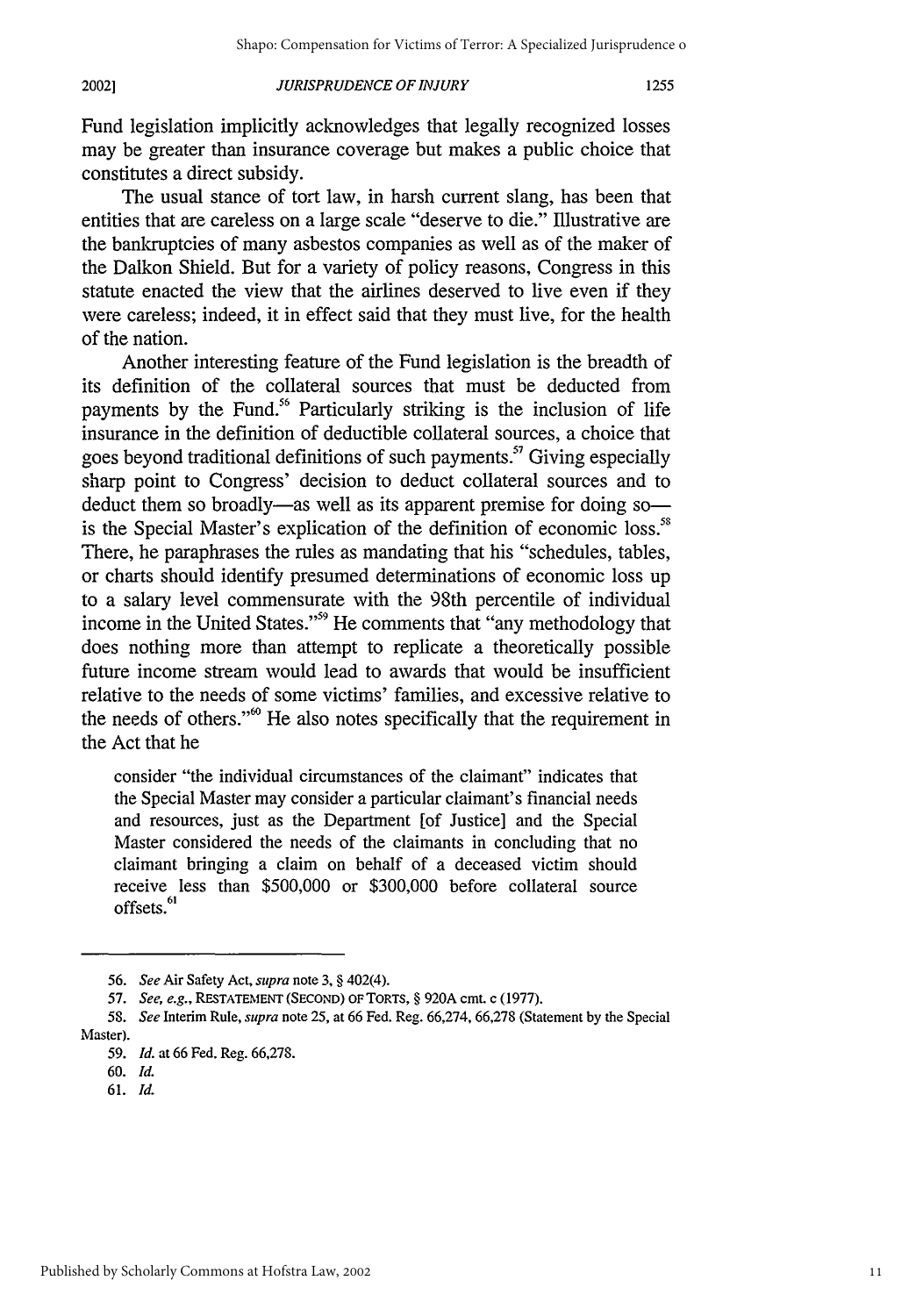#### *JURISPRUDENCE OF INJURY* 20021

Fund legislation implicitly acknowledges that legally recognized losses may be greater than insurance coverage but makes a public choice that constitutes a direct subsidy.

The usual stance of tort law, in harsh current slang, has been that entities that are careless on a large scale "deserve to die." Illustrative are the bankruptcies of many asbestos companies as well as of the maker of the Dalkon Shield. But for a variety of policy reasons, Congress in this statute enacted the view that the airlines deserved to live even if they were careless; indeed, it in effect said that they must live, for the health of the nation.

Another interesting feature of the Fund legislation is the breadth of its definition of the collateral sources that must be deducted from payments by the Fund.<sup>56</sup> Particularly striking is the inclusion of life insurance in the definition of deductible collateral sources, a choice that goes beyond traditional definitions of such payments.<sup>57</sup> Giving especially sharp point to Congress' decision to deduct collateral sources and to deduct them so broadly—as well as its apparent premise for doing so is the Special Master's explication of the definition of economic loss." There, he paraphrases the rules as mandating that his "schedules, tables, or charts should identify presumed determinations of economic loss up to a salary level commensurate with the 98th percentile of individual income in the United States."<sup>59</sup> He comments that "any methodology that does nothing more than attempt to replicate a theoretically possible future income stream would lead to awards that would be insufficient relative to the needs of some victims' families, and excessive relative to the needs of others." $\degree$  He also notes specifically that the requirement in the Act that he

consider "the individual circumstances of the claimant" indicates that the Special Master may consider a particular claimant's financial needs and resources, just as the Department [of Justice] and the Special Master considered the needs of the claimants in concluding that no claimant bringing a claim on behalf of a deceased victim should receive less than \$500,000 or \$300,000 before collateral source offsets.<sup>61</sup>

**61.** *Id.*

**<sup>56.</sup>** *See* Air Safety Act, *supra* note **3,** § 402(4).

**<sup>57.</sup>** *See, e.g.,* RESTATEMENT **(SECOND)** OF TORTS, § **920A cmt. c (1977).**

*<sup>58.</sup> See* Interim Rule, *supra* note **25,** at **66** Fed. Reg. **66,274, 66,278** (Statement **by** the Special Master).

*<sup>59.</sup> Id.* at **66** Fed. Reg. **66,278.**

**<sup>60.</sup>** *Id.*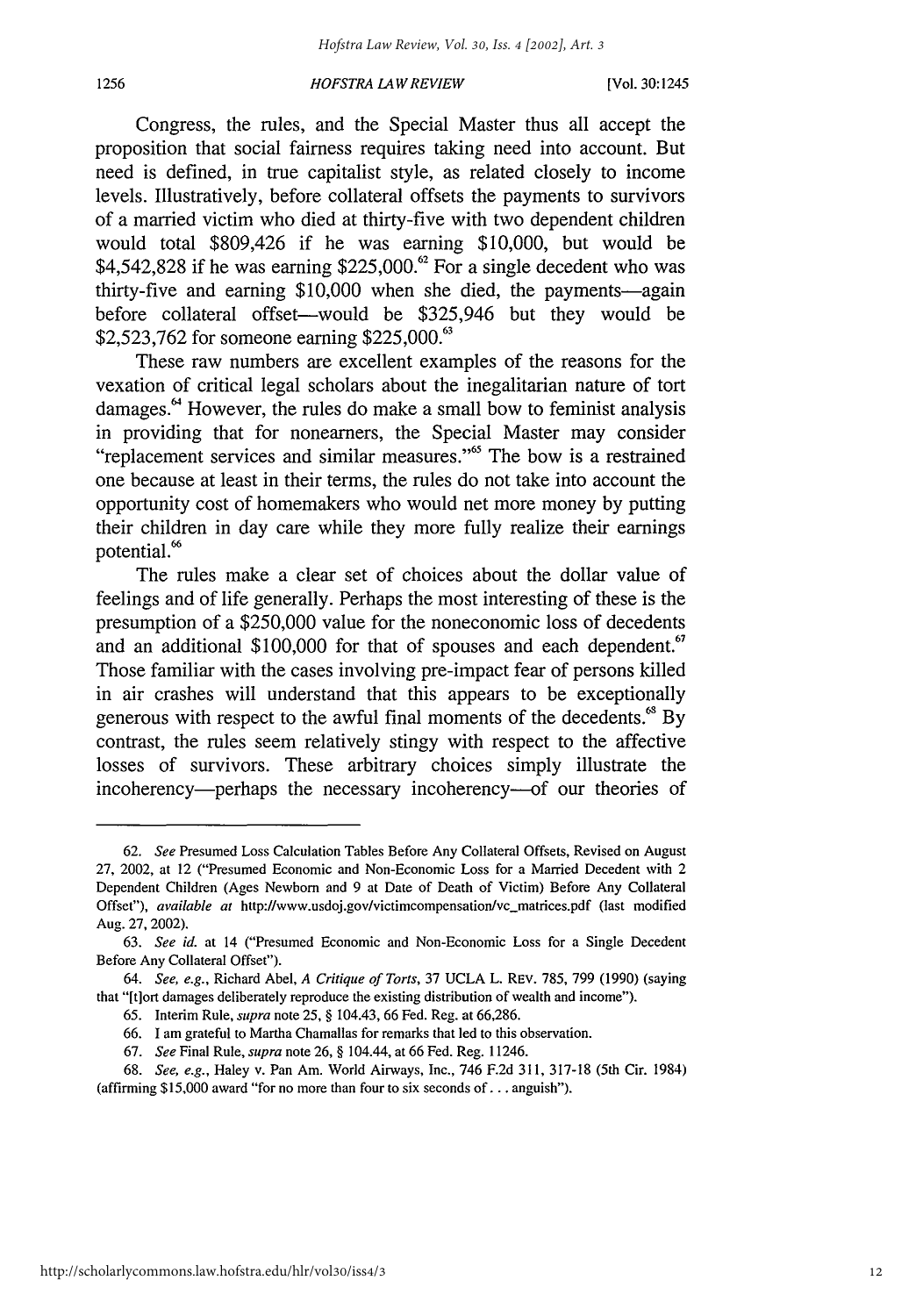Congress, the rules, and the Special Master thus all accept the proposition that social fairness requires taking need into account. But need is defined, in true capitalist style, as related closely to income levels. Illustratively, before collateral offsets the payments to survivors of a married victim who died at thirty-five with two dependent children would total \$809,426 if he was earning \$10,000, but would be \$4,542,828 if he was earning \$225,000. $\degree$  For a single decedent who was thirty-five and earning \$10,000 when she died, the payments—again before collateral offset—would be \$325,946 but they would be \$2,523,762 for someone earning \$225,000.<sup>63</sup>

These raw numbers are excellent examples of the reasons for the vexation of critical legal scholars about the inegalitarian nature of tort damages.<sup>64</sup> However, the rules do make a small bow to feminist analysis in providing that for nonearners, the Special Master may consider "replacement services and similar measures."<sup>65</sup> The bow is a restrained one because at least in their terms, the rules do not take into account the opportunity cost of homemakers who would net more money by putting their children in day care while they more fully realize their earnings potential.<sup>66</sup>

The rules make a clear set of choices about the dollar value of feelings and of life generally. Perhaps the most interesting of these is the presumption of a \$250,000 value for the noneconomic loss of decedents and an additional \$100,000 for that of spouses and each dependent.<sup>67</sup> Those familiar with the cases involving pre-impact fear of persons killed in air crashes will understand that this appears to be exceptionally generous with respect to the awful final moments of the decedents.<sup>68</sup> By contrast, the rules seem relatively stingy with respect to the affective losses of survivors. These arbitrary choices simply illustrate the incoherency—perhaps the necessary incoherency—of our theories of

<sup>62.</sup> *See* Presumed Loss Calculation Tables Before Any Collateral Offsets, Revised on August 27, 2002, at 12 ("Presumed Economic and Non-Economic Loss for a Married Decedent with 2 Dependent Children (Ages Newbom and 9 at Date of Death of Victim) Before Any Collateral Offset"), *available at* http://www.usdoj.gov/victimcompensation/vc-matrices.pdf (last modified Aug. 27, 2002).

<sup>63.</sup> *See id.* at 14 ("Presumed Economic and Non-Economic Loss for a Single Decedent Before Any Collateral Offset").

<sup>64.</sup> See, e.g., Richard Abel, *A Critique of Torts,* 37 UCLA L. REV. 785, 799 (1990) (saying that "[tiort damages deliberately reproduce the existing distribution of wealth and income").

<sup>65.</sup> Interim Rule, *supra* note 25, § 104.43, 66 Fed. Reg. at 66,286.

<sup>66.</sup> I am grateful to Martha Chamallas for remarks that led to this observation.

<sup>67.</sup> *See* Final Rule, *supra* note 26, § 104.44, at 66 Fed. Reg. 11246.

<sup>68.</sup> *See, e.g.,* Haley v. Pan Am. World Airways, Inc., 746 F.2d 311, 317-18 (5th Cir. 1984) (affirming \$15,000 award "for no more than four to six seconds of... anguish").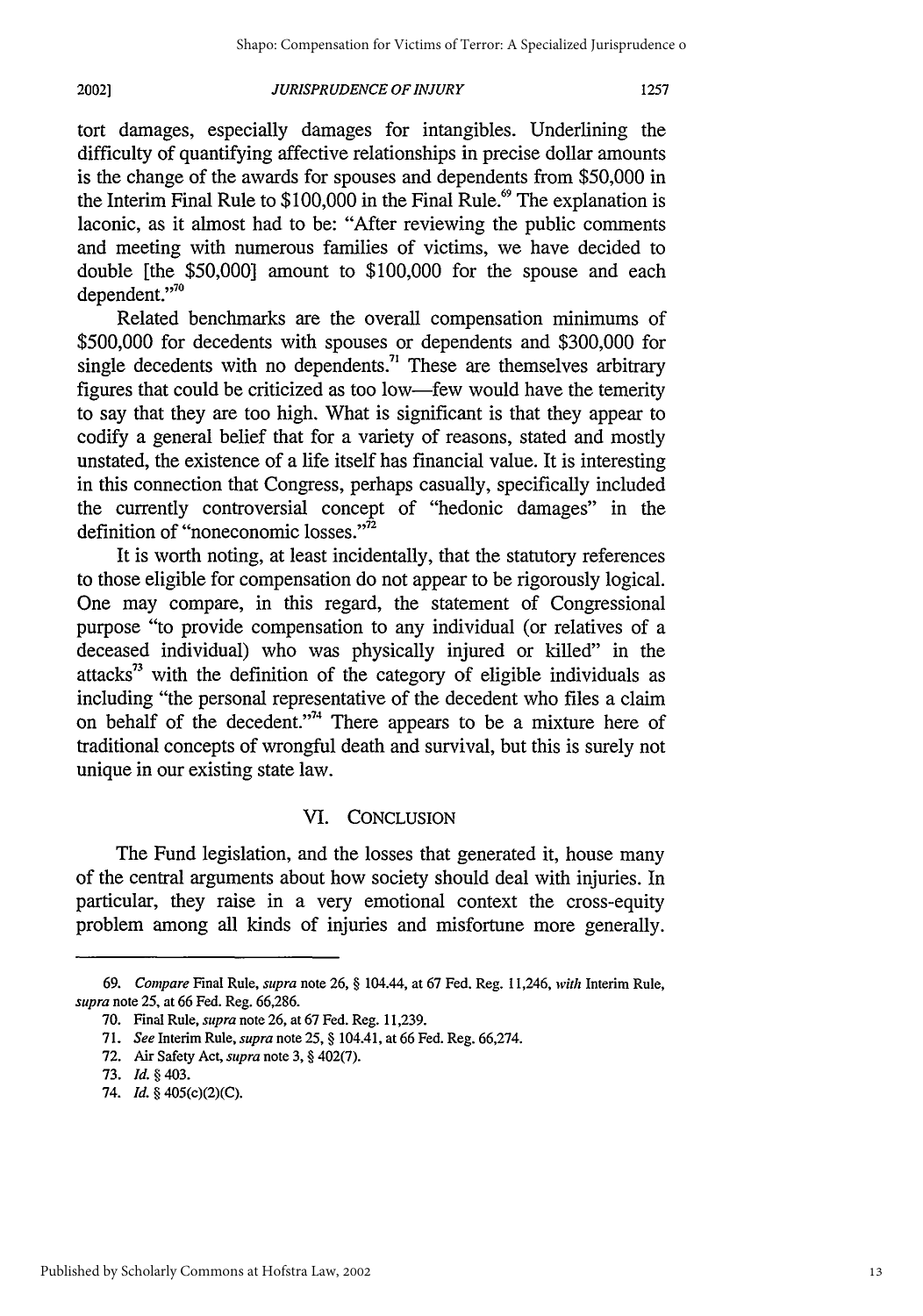#### *JURISPRUDENCE OF INJURY* **20021**

tort damages, especially damages for intangibles. Underlining the difficulty of quantifying affective relationships in precise dollar amounts is the change of the awards for spouses and dependents from \$50,000 in the Interim Final Rule to  $$100,000$  in the Final Rule.<sup>69</sup> The explanation is laconic, as it almost had to be: "After reviewing the public comments and meeting with numerous families of victims, we have decided to double [the \$50,000] amount to \$100,000 for the spouse and each dependent."<sup>70</sup>

Related benchmarks are the overall compensation minimums of \$500,000 for decedents with spouses or dependents and \$300,000 for single decedents with no dependents.<sup>71</sup> These are themselves arbitrary figures that could be criticized as too low-few would have the temerity to say that they are too high. What is significant is that they appear to codify a general belief that for a variety of reasons, stated and mostly unstated, the existence of a life itself has financial value. It is interesting in this connection that Congress, perhaps casually, specifically included the currently controversial concept of "hedonic damages" in the definition of "noneconomic losses." $\frac{1}{2}$ 

It is worth noting, at least incidentally, that the statutory references to those eligible for compensation do not appear to be rigorously logical. One may compare, in this regard, the statement of Congressional purpose "to provide compensation to any individual (or relatives of a deceased individual) who was physically injured or killed" in the attacks<sup>33</sup> with the definition of the category of eligible individuals as including "the personal representative of the decedent who files a claim on behalf of the decedent."<sup>74</sup> There appears to be a mixture here of traditional concepts of wrongful death and survival, but this is surely not unique in our existing state law.

## VI. CONCLUSION

The Fund legislation, and the losses that generated it, house many of the central arguments about how society should deal with injuries. In particular, they raise in a very emotional context the cross-equity problem among all kinds of injuries and misfortune more generally.

*<sup>69.</sup> Compare* Final Rule, *supra* note **26,** § 104.44, at **67** Fed. Reg. 11,246, *with* Interim Rule, *supra* note **25,** at **66** Fed. Reg. **66,286.**

**<sup>70.</sup>** Final Rule, *supra* note **26,** at **67** Fed. Reg. **11,239.**

**<sup>71.</sup>** *See* Interim Rule, *supra* note **25,** § 104.41, at **66** Fed. Reg. **66,274.**

**<sup>72.</sup>** Air Safety Act, *supra* note **3,** § 402(7).

**<sup>73.</sup>** *Id. §* 403.

<sup>74.</sup> *Id.* § 405(c)(2)(C).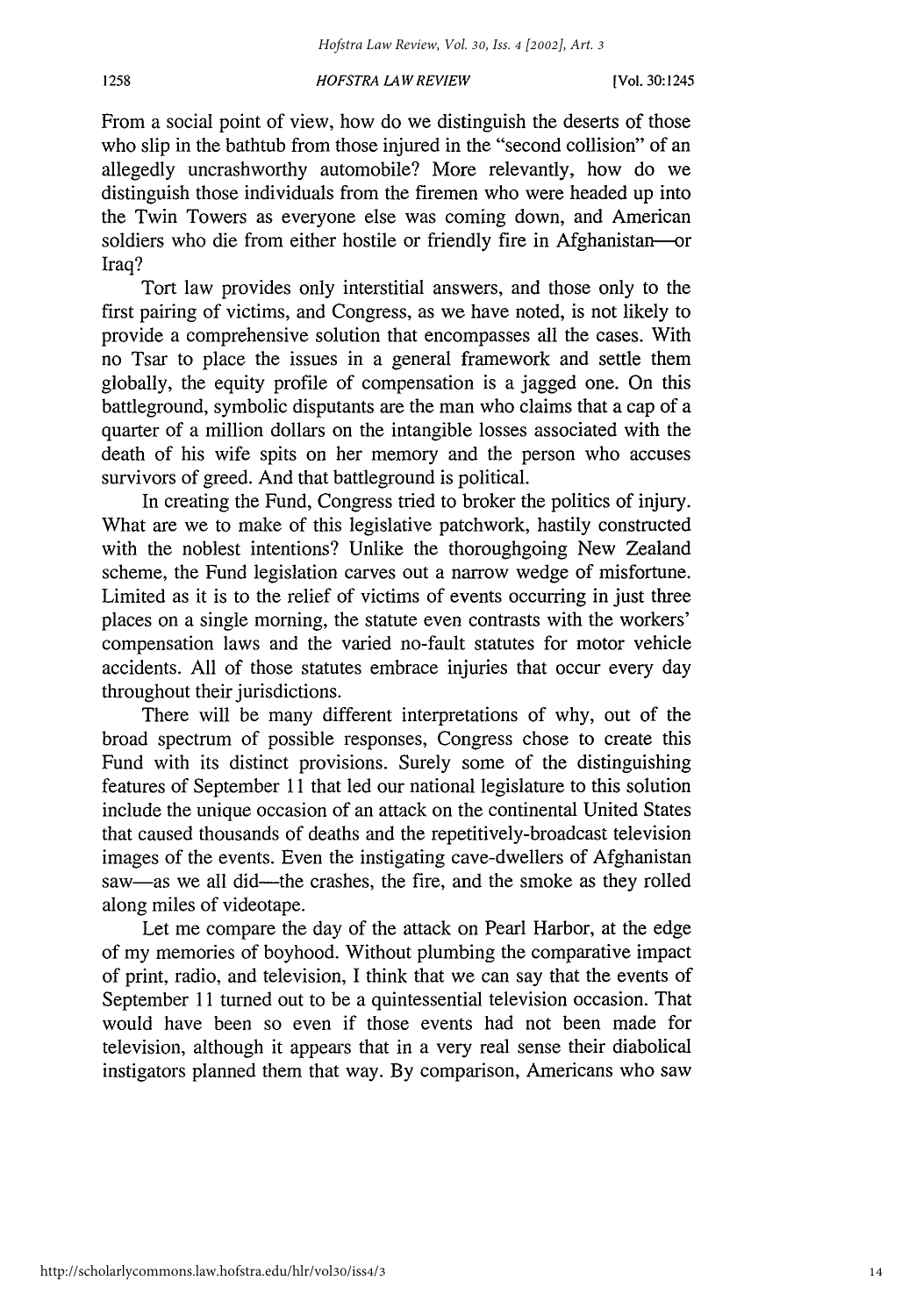From a social point of view, how do we distinguish the deserts of those who slip in the bathtub from those injured in the "second collision" of an allegedly uncrashworthy automobile? More relevantly, how do we distinguish those individuals from the firemen who were headed up into the Twin Towers as everyone else was coming down, and American soldiers who die from either hostile or friendly fire in Afghanistan-or Iraq?

Tort law provides only interstitial answers, and those only to the first pairing of victims, and Congress, as we have noted, is not likely to provide a comprehensive solution that encompasses all the cases. With no Tsar to place the issues in a general framework and settle them globally, the equity profile of compensation is a jagged one. On this battleground, symbolic disputants are the man who claims that a cap of a quarter of a million dollars on the intangible losses associated with the death of his wife spits on her memory and the person who accuses survivors of greed. And that battleground is political.

In creating the Fund, Congress tried to broker the politics of injury. What are we to make of this legislative patchwork, hastily constructed with the noblest intentions? Unlike the thoroughgoing New Zealand scheme, the Fund legislation carves out a narrow wedge of misfortune. Limited as it is to the relief of victims of events occurring in just three places on a single morning, the statute even contrasts with the workers' compensation laws and the varied no-fault statutes for motor vehicle accidents. All of those statutes embrace injuries that occur every day throughout their jurisdictions.

There will be many different interpretations of why, out of the broad spectrum of possible responses, Congress chose to create this Fund with its distinct provisions. Surely some of the distinguishing features of September 11 that led our national legislature to this solution include the unique occasion of an attack on the continental United States that caused thousands of deaths and the repetitively-broadcast television images of the events. Even the instigating cave-dwellers of Afghanistan saw—as we all did—the crashes, the fire, and the smoke as they rolled along miles of videotape.

Let me compare the day of the attack on Pearl Harbor, at the edge of my memories of boyhood. Without plumbing the comparative impact of print, radio, and television, I think that we can say that the events of September 11 turned out to be a quintessential television occasion. That would have been so even if those events had not been made for television, although it appears that in a very real sense their diabolical instigators planned them that way. By comparison, Americans who saw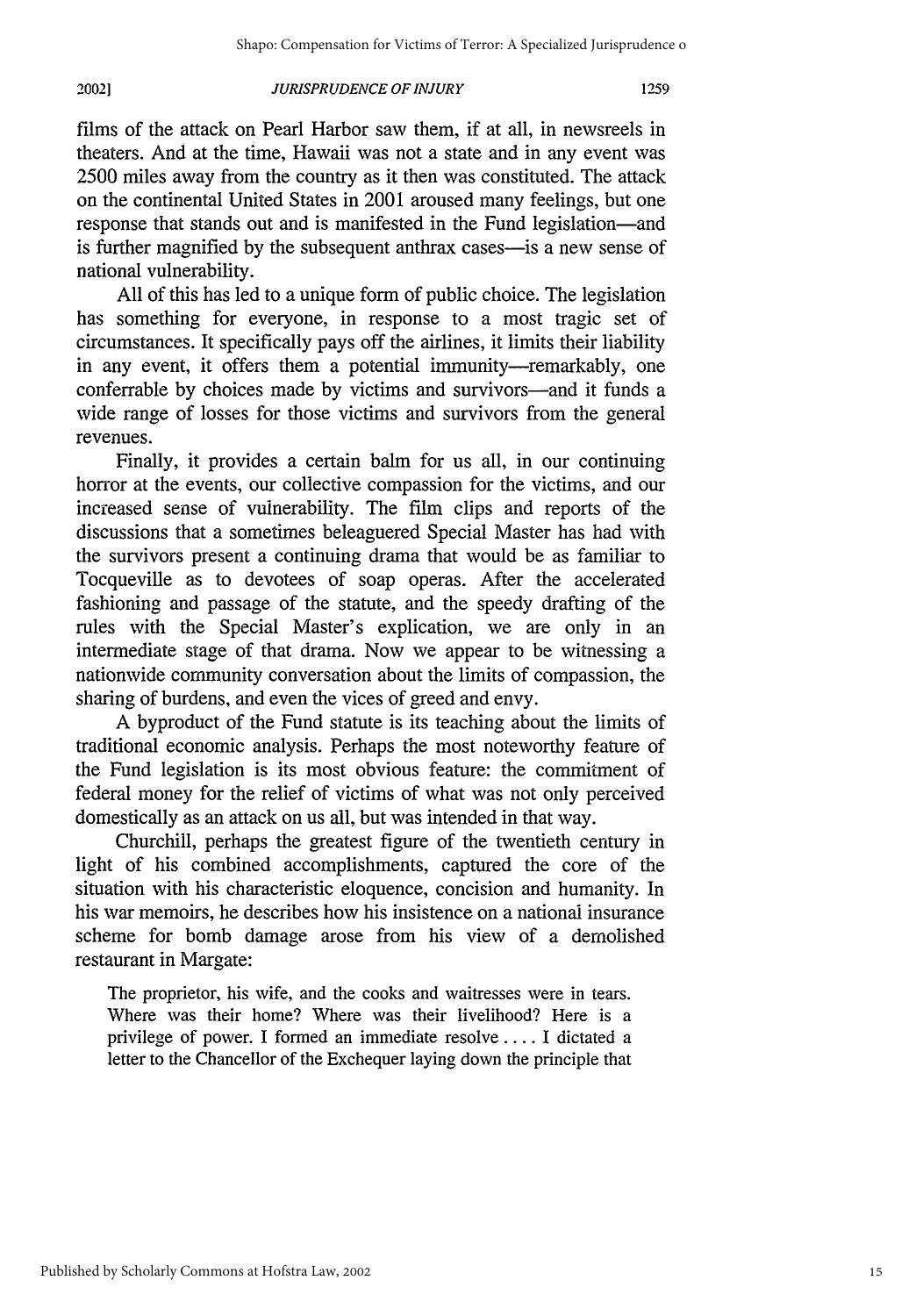#### *JURISPRUDENCE OF INJURY* 20021

films of the attack on Pearl Harbor saw them, if at all, in newsreels in theaters. And at the time, Hawaii was not a state and in any event was 2500 miles away from the country as it then was constituted. The attack on the continental United States in 2001 aroused many feelings, but one response that stands out and is manifested in the Fund legislation-and is further magnified by the subsequent anthrax cases—is a new sense of national vulnerability.

All of this has led to a unique form of public choice. The legislation has something for everyone, in response to a most tragic set of circumstances. It specifically pays off the airlines, it limits their liability in any event, it offers them a potential immunity-remarkably, one conferrable by choices made by victims and survivors-and it funds a wide range of losses for those victims and survivors from the general revenues.

Finally, it provides a certain balm for us all, in our continuing horror at the events, our collective compassion for the victims, and our increased sense of vulnerability. The film clips and reports of the discussions that a sometimes beleaguered Special Master has had with the survivors present a continuing drama that would be as familiar to Tocqueville as to devotees of soap operas. After the accelerated fashioning and passage of the statute, and the speedy drafting of the rules with the Special Master's explication, we are only in an intermediate stage of that drama. Now we appear to be witnessing a nationwide community conversation about the limits of compassion, the sharing of burdens, and even the vices of greed and envy.

A byproduct of the Fund statute is its teaching about the limits of traditional economic analysis. Perhaps the most noteworthy feature of the Fund legislation is its most obvious feature: the commitment of federal money for the relief of victims of what was not only perceived domestically as an attack on us all, but was intended in that way.

Churchill, perhaps the greatest figure of the twentieth century in light of his combined accomplishments, captured the core of the situation with his characteristic eloquence, concision and humanity. In his war memoirs, he describes how his insistence on a national insurance scheme for bomb damage arose from his view of a demolished restaurant in Margate:

The proprietor, his wife, and the cooks and waitresses were in tears. Where was their home? Where was their livelihood? Here is a privilege of power. I formed an immediate resolve .... I dictated a letter to the Chancellor of the Exchequer laying down the principle that